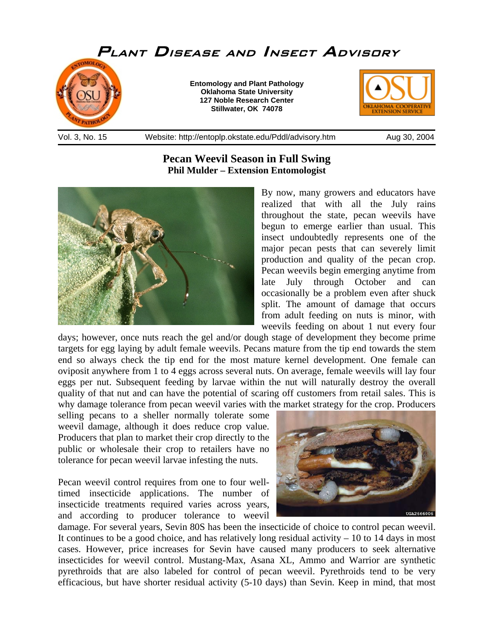

## **Pecan Weevil Season in Full Swing Phil Mulder – Extension Entomologist**



By now, many growers and educators have realized that with all the July rains throughout the state, pecan weevils have begun to emerge earlier than usual. This insect undoubtedly represents one of the major pecan pests that can severely limit production and quality of the pecan crop. Pecan weevils begin emerging anytime from late July through October and can occasionally be a problem even after shuck split. The amount of damage that occurs from adult feeding on nuts is minor, with weevils feeding on about 1 nut every four

days; however, once nuts reach the gel and/or dough stage of development they become prime targets for egg laying by adult female weevils. Pecans mature from the tip end towards the stem end so always check the tip end for the most mature kernel development. One female can oviposit anywhere from 1 to 4 eggs across several nuts. On average, female weevils will lay four eggs per nut. Subsequent feeding by larvae within the nut will naturally destroy the overall quality of that nut and can have the potential of scaring off customers from retail sales. This is why damage tolerance from pecan weevil varies with the market strategy for the crop. Producers

selling pecans to a sheller normally tolerate some weevil damage, although it does reduce crop value. Producers that plan to market their crop directly to the public or wholesale their crop to retailers have no tolerance for pecan weevil larvae infesting the nuts.

Pecan weevil control requires from one to four welltimed insecticide applications. The number of insecticide treatments required varies across years, and according to producer tolerance to weevil



damage. For several years, Sevin 80S has been the insecticide of choice to control pecan weevil. It continues to be a good choice, and has relatively long residual activity  $-10$  to 14 days in most cases. However, price increases for Sevin have caused many producers to seek alternative insecticides for weevil control. Mustang-Max, Asana XL, Ammo and Warrior are synthetic pyrethroids that are also labeled for control of pecan weevil. Pyrethroids tend to be very efficacious, but have shorter residual activity (5-10 days) than Sevin. Keep in mind, that most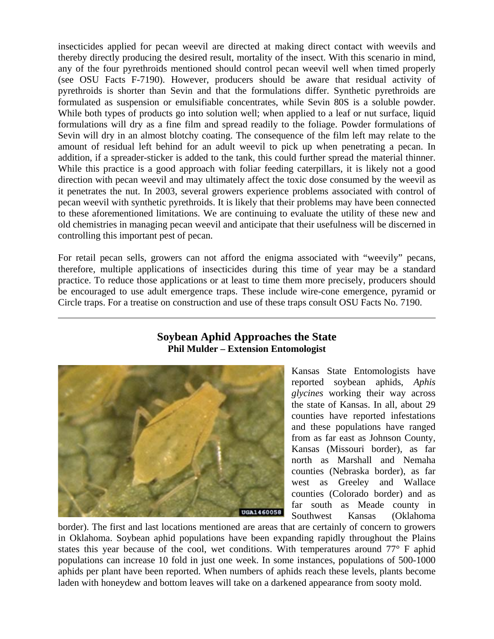insecticides applied for pecan weevil are directed at making direct contact with weevils and thereby directly producing the desired result, mortality of the insect. With this scenario in mind, any of the four pyrethroids mentioned should control pecan weevil well when timed properly (see OSU Facts F-7190). However, producers should be aware that residual activity of pyrethroids is shorter than Sevin and that the formulations differ. Synthetic pyrethroids are formulated as suspension or emulsifiable concentrates, while Sevin 80S is a soluble powder. While both types of products go into solution well; when applied to a leaf or nut surface, liquid formulations will dry as a fine film and spread readily to the foliage. Powder formulations of Sevin will dry in an almost blotchy coating. The consequence of the film left may relate to the amount of residual left behind for an adult weevil to pick up when penetrating a pecan. In addition, if a spreader-sticker is added to the tank, this could further spread the material thinner. While this practice is a good approach with foliar feeding caterpillars, it is likely not a good direction with pecan weevil and may ultimately affect the toxic dose consumed by the weevil as it penetrates the nut. In 2003, several growers experience problems associated with control of pecan weevil with synthetic pyrethroids. It is likely that their problems may have been connected to these aforementioned limitations. We are continuing to evaluate the utility of these new and old chemistries in managing pecan weevil and anticipate that their usefulness will be discerned in controlling this important pest of pecan.

For retail pecan sells, growers can not afford the enigma associated with "weevily" pecans, therefore, multiple applications of insecticides during this time of year may be a standard practice. To reduce those applications or at least to time them more precisely, producers should be encouraged to use adult emergence traps. These include wire-cone emergence, pyramid or Circle traps. For a treatise on construction and use of these traps consult OSU Facts No. 7190.

## **Soybean Aphid Approaches the State Phil Mulder – Extension Entomologist**



 $\overline{a}$ 

Kansas State Entomologists have reported soybean aphids, *Aphis glycines* working their way across the state of Kansas. In all, about 29 counties have reported infestations and these populations have ranged from as far east as Johnson County, Kansas (Missouri border), as far north as Marshall and Nemaha counties (Nebraska border), as far west as Greeley and Wallace counties (Colorado border) and as far south as Meade county in Southwest Kansas (Oklahoma

border). The first and last locations mentioned are areas that are certainly of concern to growers in Oklahoma. Soybean aphid populations have been expanding rapidly throughout the Plains states this year because of the cool, wet conditions. With temperatures around 77° F aphid populations can increase 10 fold in just one week. In some instances, populations of 500-1000 aphids per plant have been reported. When numbers of aphids reach these levels, plants become laden with honeydew and bottom leaves will take on a darkened appearance from sooty mold.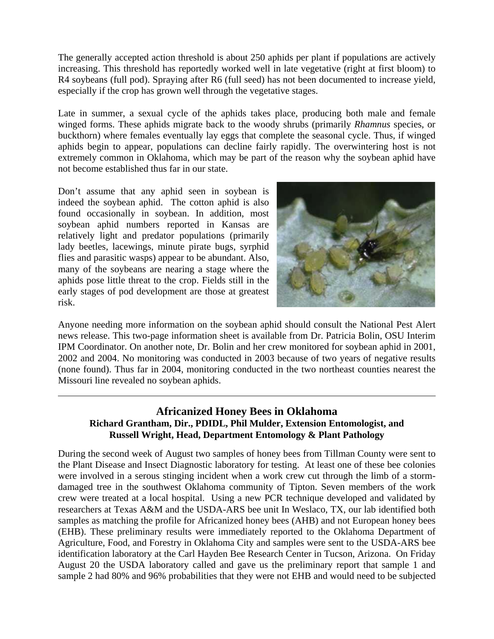The generally accepted action threshold is about 250 aphids per plant if populations are actively increasing. This threshold has reportedly worked well in late vegetative (right at first bloom) to R4 soybeans (full pod). Spraying after R6 (full seed) has not been documented to increase yield, especially if the crop has grown well through the vegetative stages.

Late in summer, a sexual cycle of the aphids takes place, producing both male and female winged forms. These aphids migrate back to the woody shrubs (primarily *Rhamnus* species, or buckthorn) where females eventually lay eggs that complete the seasonal cycle. Thus, if winged aphids begin to appear, populations can decline fairly rapidly. The overwintering host is not extremely common in Oklahoma, which may be part of the reason why the soybean aphid have not become established thus far in our state.

Don't assume that any aphid seen in soybean is indeed the soybean aphid. The cotton aphid is also found occasionally in soybean. In addition, most soybean aphid numbers reported in Kansas are relatively light and predator populations (primarily lady beetles, lacewings, minute pirate bugs, syrphid flies and parasitic wasps) appear to be abundant. Also, many of the soybeans are nearing a stage where the aphids pose little threat to the crop. Fields still in the early stages of pod development are those at greatest risk.

 $\overline{a}$ 



Anyone needing more information on the soybean aphid should consult the National Pest Alert news release. This two-page information sheet is available from Dr. Patricia Bolin, OSU Interim IPM Coordinator. On another note, Dr. Bolin and her crew monitored for soybean aphid in 2001, 2002 and 2004. No monitoring was conducted in 2003 because of two years of negative results (none found). Thus far in 2004, monitoring conducted in the two northeast counties nearest the Missouri line revealed no soybean aphids.

## **Africanized Honey Bees in Oklahoma Richard Grantham, Dir., PDIDL, Phil Mulder, Extension Entomologist, and Russell Wright, Head, Department Entomology & Plant Pathology**

During the second week of August two samples of honey bees from Tillman County were sent to the Plant Disease and Insect Diagnostic laboratory for testing. At least one of these bee colonies were involved in a serous stinging incident when a work crew cut through the limb of a stormdamaged tree in the southwest Oklahoma community of Tipton. Seven members of the work crew were treated at a local hospital. Using a new PCR technique developed and validated by researchers at Texas A&M and the USDA-ARS bee unit In Weslaco, TX, our lab identified both samples as matching the profile for Africanized honey bees (AHB) and not European honey bees (EHB). These preliminary results were immediately reported to the Oklahoma Department of Agriculture, Food, and Forestry in Oklahoma City and samples were sent to the USDA-ARS bee identification laboratory at the Carl Hayden Bee Research Center in Tucson, Arizona. On Friday August 20 the USDA laboratory called and gave us the preliminary report that sample 1 and sample 2 had 80% and 96% probabilities that they were not EHB and would need to be subjected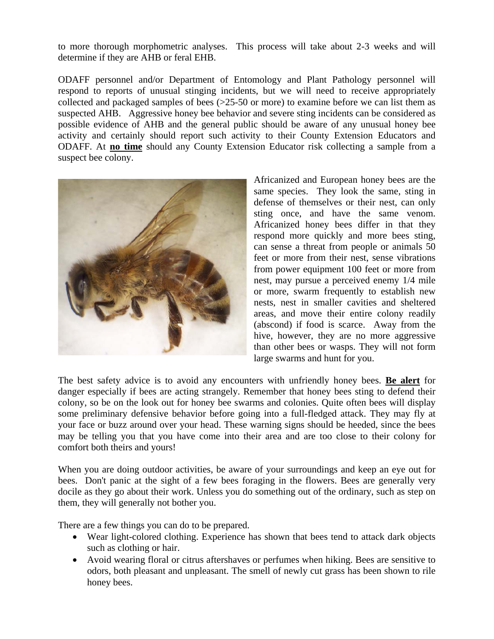to more thorough morphometric analyses. This process will take about 2-3 weeks and will determine if they are AHB or feral EHB.

ODAFF personnel and/or Department of Entomology and Plant Pathology personnel will respond to reports of unusual stinging incidents, but we will need to receive appropriately collected and packaged samples of bees (>25-50 or more) to examine before we can list them as suspected AHB. Aggressive honey bee behavior and severe sting incidents can be considered as possible evidence of AHB and the general public should be aware of any unusual honey bee activity and certainly should report such activity to their County Extension Educators and ODAFF. At **no time** should any County Extension Educator risk collecting a sample from a suspect bee colony.



Africanized and European honey bees are the same species. They look the same, sting in defense of themselves or their nest, can only sting once, and have the same venom. Africanized honey bees differ in that they respond more quickly and more bees sting, can sense a threat from people or animals 50 feet or more from their nest, sense vibrations from power equipment 100 feet or more from nest, may pursue a perceived enemy 1/4 mile or more, swarm frequently to establish new nests, nest in smaller cavities and sheltered areas, and move their entire colony readily (abscond) if food is scarce. Away from the hive, however, they are no more aggressive than other bees or wasps. They will not form large swarms and hunt for you.

The best safety advice is to avoid any encounters with unfriendly honey bees. **Be alert** for danger especially if bees are acting strangely. Remember that honey bees sting to defend their colony, so be on the look out for honey bee swarms and colonies. Quite often bees will display some preliminary defensive behavior before going into a full-fledged attack. They may fly at your face or buzz around over your head. These warning signs should be heeded, since the bees may be telling you that you have come into their area and are too close to their colony for comfort both theirs and yours!

When you are doing outdoor activities, be aware of your surroundings and keep an eye out for bees. Don't panic at the sight of a few bees foraging in the flowers. Bees are generally very docile as they go about their work. Unless you do something out of the ordinary, such as step on them, they will generally not bother you.

There are a few things you can do to be prepared.

- Wear light-colored clothing. Experience has shown that bees tend to attack dark objects such as clothing or hair.
- Avoid wearing floral or citrus aftershaves or perfumes when hiking. Bees are sensitive to odors, both pleasant and unpleasant. The smell of newly cut grass has been shown to rile honey bees.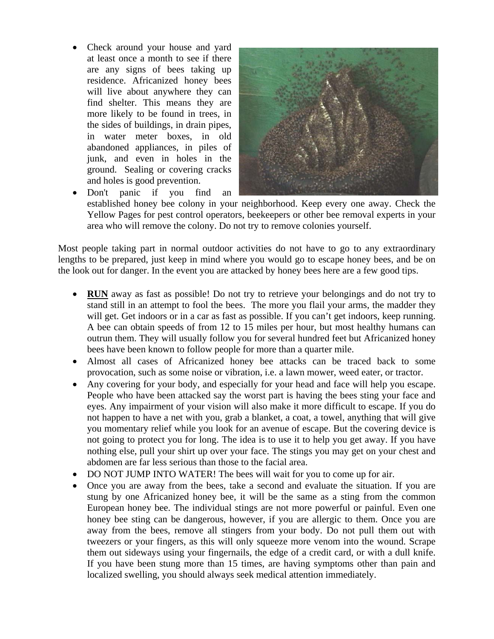• Check around your house and yard at least once a month to see if there are any signs of bees taking up residence. Africanized honey bees will live about anywhere they can find shelter. This means they are more likely to be found in trees, in the sides of buildings, in drain pipes, in water meter boxes, in old abandoned appliances, in piles of junk, and even in holes in the ground. Sealing or covering cracks and holes is good prevention.



• Don't panic if you find an established honey bee colony in your neighborhood. Keep every one away. Check the Yellow Pages for pest control operators, beekeepers or other bee removal experts in your area who will remove the colony. Do not try to remove colonies yourself.

Most people taking part in normal outdoor activities do not have to go to any extraordinary lengths to be prepared, just keep in mind where you would go to escape honey bees, and be on the look out for danger. In the event you are attacked by honey bees here are a few good tips.

- **RUN** away as fast as possible! Do not try to retrieve your belongings and do not try to stand still in an attempt to fool the bees. The more you flail your arms, the madder they will get. Get indoors or in a car as fast as possible. If you can't get indoors, keep running. A bee can obtain speeds of from 12 to 15 miles per hour, but most healthy humans can outrun them. They will usually follow you for several hundred feet but Africanized honey bees have been known to follow people for more than a quarter mile.
- Almost all cases of Africanized honey bee attacks can be traced back to some provocation, such as some noise or vibration, i.e. a lawn mower, weed eater, or tractor.
- Any covering for your body, and especially for your head and face will help you escape. People who have been attacked say the worst part is having the bees sting your face and eyes. Any impairment of your vision will also make it more difficult to escape. If you do not happen to have a net with you, grab a blanket, a coat, a towel, anything that will give you momentary relief while you look for an avenue of escape. But the covering device is not going to protect you for long. The idea is to use it to help you get away. If you have nothing else, pull your shirt up over your face. The stings you may get on your chest and abdomen are far less serious than those to the facial area.
- DO NOT JUMP INTO WATER! The bees will wait for you to come up for air.
- Once you are away from the bees, take a second and evaluate the situation. If you are stung by one Africanized honey bee, it will be the same as a sting from the common European honey bee. The individual stings are not more powerful or painful. Even one honey bee sting can be dangerous, however, if you are allergic to them. Once you are away from the bees, remove all stingers from your body. Do not pull them out with tweezers or your fingers, as this will only squeeze more venom into the wound. Scrape them out sideways using your fingernails, the edge of a credit card, or with a dull knife. If you have been stung more than 15 times, are having symptoms other than pain and localized swelling, you should always seek medical attention immediately.